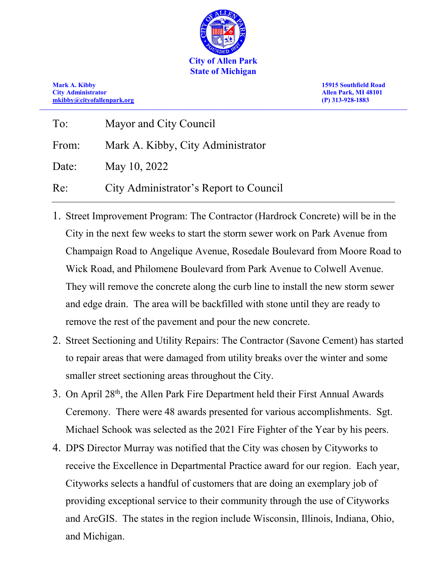

**Mark A. Kibby 15915 Southfield Road [mkibby@cityofallenpark.org](mailto:mkibby@cityofallenpark.org) (P) 313-928-1883 \_\_\_\_\_\_\_\_\_\_\_\_\_\_\_\_\_\_\_\_\_\_\_\_\_\_\_\_\_\_\_\_\_\_\_\_\_\_\_\_\_\_\_\_\_\_\_\_\_\_\_\_\_\_\_\_\_\_\_\_\_\_\_\_\_\_\_\_\_\_\_\_\_\_\_\_\_\_\_\_\_\_\_\_\_\_\_\_\_\_\_\_\_\_\_\_\_\_\_\_\_\_\_\_\_\_\_\_\_\_\_\_\_\_\_\_\_\_\_\_\_\_\_\_\_\_**

**City Administrator Allen Park, MI 48101**

| To:   | Mayor and City Council                 |
|-------|----------------------------------------|
| From: | Mark A. Kibby, City Administrator      |
| Date: | May 10, 2022                           |
| Re:   | City Administrator's Report to Council |

- 1. Street Improvement Program: The Contractor (Hardrock Concrete) will be in the City in the next few weeks to start the storm sewer work on Park Avenue from Champaign Road to Angelique Avenue, Rosedale Boulevard from Moore Road to Wick Road, and Philomene Boulevard from Park Avenue to Colwell Avenue. They will remove the concrete along the curb line to install the new storm sewer and edge drain. The area will be backfilled with stone until they are ready to remove the rest of the pavement and pour the new concrete.
- 2. Street Sectioning and Utility Repairs: The Contractor (Savone Cement) has started to repair areas that were damaged from utility breaks over the winter and some smaller street sectioning areas throughout the City.
- 3. On April  $28<sup>th</sup>$ , the Allen Park Fire Department held their First Annual Awards Ceremony. There were 48 awards presented for various accomplishments. Sgt. Michael Schook was selected as the 2021 Fire Fighter of the Year by his peers.
- 4. DPS Director Murray was notified that the City was chosen by Cityworks to receive the Excellence in Departmental Practice award for our region. Each year, Cityworks selects a handful of customers that are doing an exemplary job of providing exceptional service to their community through the use of Cityworks and ArcGIS. The states in the region include Wisconsin, Illinois, Indiana, Ohio, and Michigan.